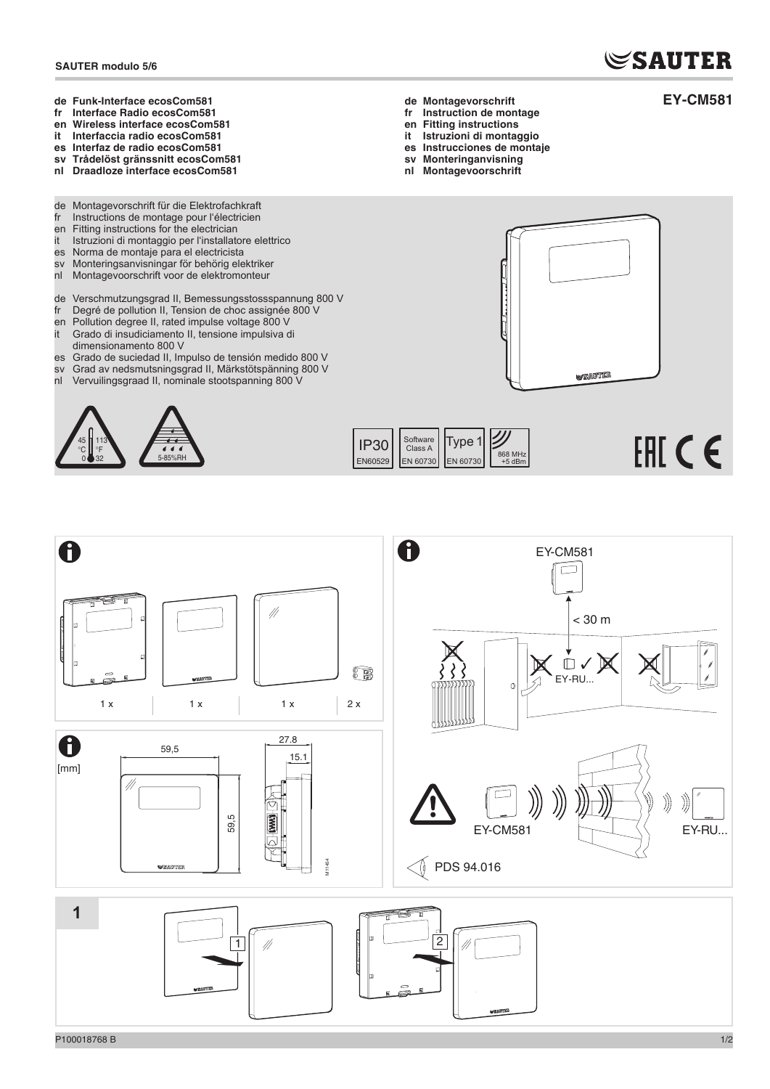## **SAUTER**

**EY-CM581**

- **de Funk-Interface ecosCom581**
- **fr Interface Radio ecosCom581 en Wireless interface ecosCom581**
- **it Interfaccia radio ecosCom581**
- **es Interfaz de radio ecosCom581**
- **sv Trådelöst gränssnitt ecosCom581**
- **nl Draadloze interface ecosCom581**
- 
- de Montagevorschrift für die Elektrofachkraft<br>fr Instructions de montage pour l'électricien Instructions de montage pour l'électricien
- en Fitting instructions for the electrician<br>it Istruzioni di montaggio per l'installato
- Istruzioni di montaggio per l'installatore elettrico
- es Norma de montaje para el electricista<br>sv Monteringsanvisningar för behörig ele
- Monteringsanvisningar för behörig elektriker
- nl Montagevoorschrift voor de elektromonteur
- de Verschmutzungsgrad II, Bemessungsstossspannung 800 V
- fr Degré de pollution II, Tension de choc assignée 800 V
- en Pollution degree II, rated impulse voltage 800 V<br>it Grado di insudiciamento II, tensione impulsiva c Grado di insudiciamento II, tensione impulsiva di
- dimensionamento 800 V
- es Grado de suciedad II, Impulso de tensión medido 800 V
- sv Grad av nedsmutsningsgrad II, Märkstötspänning 800 V nl Vervuilingsgraad II, nominale stootspanning 800 V





- **fr Instruction de montage**
- **en Fitting instructions**
- **it Istruzioni di montaggio**
- **es Instrucciones de montaje**
- **sv Monteringanvisning nl Montagevoorschrift**



IP30 EN60529 | EN 60730 Software Class A EN 60730 Type 1 868 MHz +5 dBm